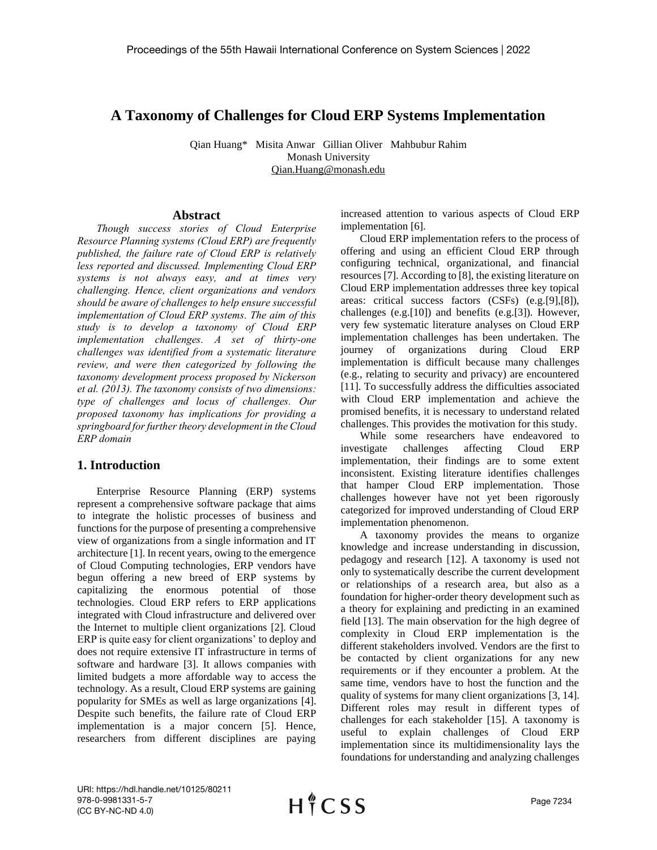# **A Taxonomy of Challenges for Cloud ERP Systems Implementation**

Qian Huang\* Misita Anwar Gillian Oliver Mahbubur Rahim Monash University Qian.Huang@monash.edu

#### **Abstract**

*Though success stories of Cloud Enterprise Resource Planning systems (Cloud ERP) are frequently published, the failure rate of Cloud ERP is relatively less reported and discussed. Implementing Cloud ERP systems is not always easy, and at times very challenging. Hence, client organizations and vendors should be aware of challenges to help ensure successful implementation of Cloud ERP systems. The aim of this study is to develop a taxonomy of Cloud ERP implementation challenges. A set of thirty-one challenges was identified from a systematic literature review, and were then categorized by following the taxonomy development process proposed by Nickerson et al. (2013). The taxonomy consists of two dimensions: type of challenges and locus of challenges. Our proposed taxonomy has implications for providing a springboard for further theory development in the Cloud ERP domain*

#### **1. Introduction**

Enterprise Resource Planning (ERP) systems represent a comprehensive software package that aims to integrate the holistic processes of business and functions for the purpose of presenting a comprehensive view of organizations from a single information and IT architecture [1]. In recent years, owing to the emergence of Cloud Computing technologies, ERP vendors have begun offering a new breed of ERP systems by capitalizing the enormous potential of those technologies. Cloud ERP refers to ERP applications integrated with Cloud infrastructure and delivered over the Internet to multiple client organizations [2]. Cloud ERP is quite easy for client organizations' to deploy and does not require extensive IT infrastructure in terms of software and hardware [3]. It allows companies with limited budgets a more affordable way to access the technology. As a result, Cloud ERP systems are gaining popularity for SMEs as well as large organizations [4]. Despite such benefits, the failure rate of Cloud ERP implementation is a major concern [5]. Hence, researchers from different disciplines are paying

increased attention to various aspects of Cloud ERP implementation [6].

Cloud ERP implementation refers to the process of offering and using an efficient Cloud ERP through configuring technical, organizational, and financial resources [7]. According to [8], the existing literature on Cloud ERP implementation addresses three key topical areas: critical success factors (CSFs) (e.g.[9],[8]), challenges (e.g.[10]) and benefits (e.g.[3]). However, very few systematic literature analyses on Cloud ERP implementation challenges has been undertaken. The journey of organizations during Cloud ERP implementation is difficult because many challenges (e.g., relating to security and privacy) are encountered [11]. To successfully address the difficulties associated with Cloud ERP implementation and achieve the promised benefits, it is necessary to understand related challenges. This provides the motivation for this study.

While some researchers have endeavored to investigate challenges affecting Cloud ERP implementation, their findings are to some extent inconsistent. Existing literature identifies challenges that hamper Cloud ERP implementation. Those challenges however have not yet been rigorously categorized for improved understanding of Cloud ERP implementation phenomenon.

A taxonomy provides the means to organize knowledge and increase understanding in discussion, pedagogy and research [12]. A taxonomy is used not only to systematically describe the current development or relationships of a research area, but also as a foundation for higher-order theory development such as a theory for explaining and predicting in an examined field [13]. The main observation for the high degree of complexity in Cloud ERP implementation is the different stakeholders involved. Vendors are the first to be contacted by client organizations for any new requirements or if they encounter a problem. At the same time, vendors have to host the function and the quality of systems for many client organizations [3, 14]. Different roles may result in different types of challenges for each stakeholder [15]. A taxonomy is useful to explain challenges of Cloud ERP implementation since its multidimensionality lays the foundations for understanding and analyzing challenges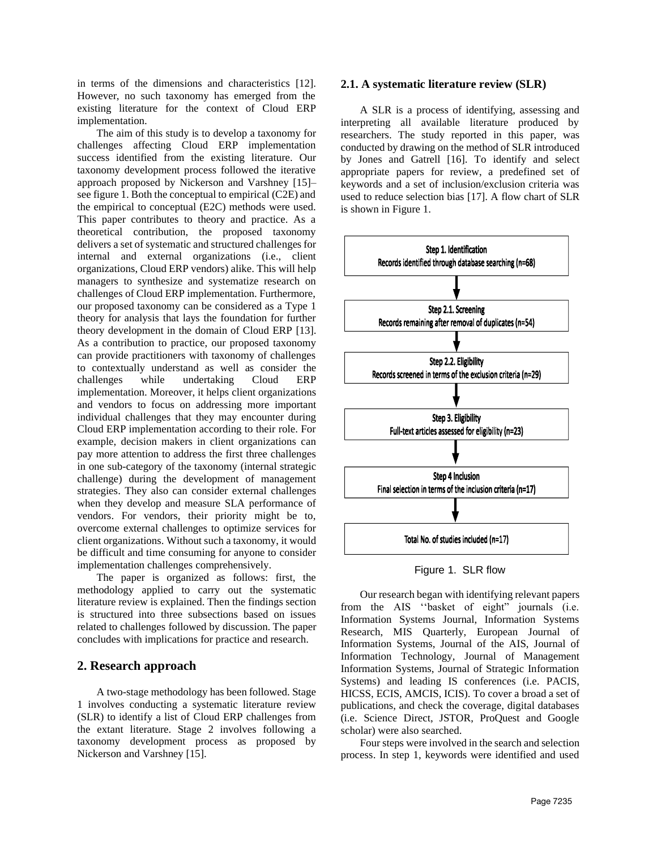in terms of the dimensions and characteristics [12]. However, no such taxonomy has emerged from the existing literature for the context of Cloud ERP implementation.

The aim of this study is to develop a taxonomy for challenges affecting Cloud ERP implementation success identified from the existing literature. Our taxonomy development process followed the iterative approach proposed by Nickerson and Varshney [15]– see figure 1. Both the conceptual to empirical (C2E) and the empirical to conceptual (E2C) methods were used. This paper contributes to theory and practice. As a theoretical contribution, the proposed taxonomy delivers a set of systematic and structured challenges for internal and external organizations (i.e., client organizations, Cloud ERP vendors) alike. This will help managers to synthesize and systematize research on challenges of Cloud ERP implementation. Furthermore, our proposed taxonomy can be considered as a Type 1 theory for analysis that lays the foundation for further theory development in the domain of Cloud ERP [13]. As a contribution to practice, our proposed taxonomy can provide practitioners with taxonomy of challenges to contextually understand as well as consider the challenges while undertaking Cloud ERP implementation. Moreover, it helps client organizations and vendors to focus on addressing more important individual challenges that they may encounter during Cloud ERP implementation according to their role. For example, decision makers in client organizations can pay more attention to address the first three challenges in one sub-category of the taxonomy (internal strategic challenge) during the development of management strategies. They also can consider external challenges when they develop and measure SLA performance of vendors. For vendors, their priority might be to, overcome external challenges to optimize services for client organizations. Without such a taxonomy, it would be difficult and time consuming for anyone to consider implementation challenges comprehensively.

The paper is organized as follows: first, the methodology applied to carry out the systematic literature review is explained. Then the findings section is structured into three subsections based on issues related to challenges followed by discussion. The paper concludes with implications for practice and research.

## **2. Research approach**

A two-stage methodology has been followed. Stage 1 involves conducting a systematic literature review (SLR) to identify a list of Cloud ERP challenges from the extant literature. Stage 2 involves following a taxonomy development process as proposed by Nickerson and Varshney [15].

#### **2.1. A systematic literature review (SLR)**

A SLR is a process of identifying, assessing and interpreting all available literature produced by researchers. The study reported in this paper, was conducted by drawing on the method of SLR introduced by Jones and Gatrell [16]. To identify and select appropriate papers for review, a predefined set of keywords and a set of inclusion/exclusion criteria was used to reduce selection bias [17]. A flow chart of SLR is shown in Figure 1.



Figure 1. SLR flow

Our research began with identifying relevant papers from the AIS ''basket of eight" journals (i.e. Information Systems Journal, Information Systems Research, MIS Quarterly, European Journal of Information Systems, Journal of the AIS, Journal of Information Technology, Journal of Management Information Systems, Journal of Strategic Information Systems) and leading IS conferences (i.e. PACIS, HICSS, ECIS, AMCIS, ICIS). To cover a broad a set of publications, and check the coverage, digital databases (i.e. Science Direct, JSTOR, ProQuest and Google scholar) were also searched.

Four steps were involved in the search and selection process. In step 1, keywords were identified and used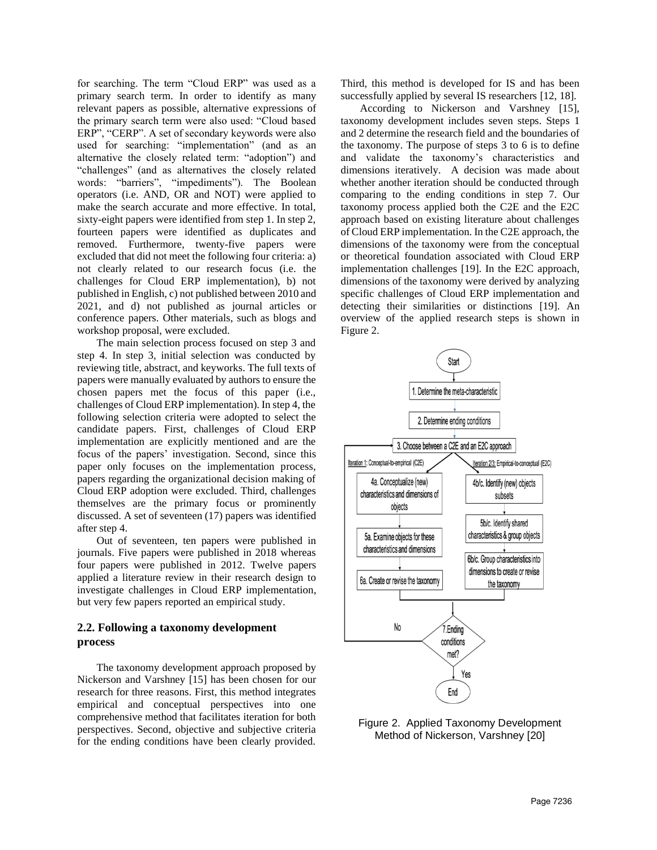for searching. The term "Cloud ERP" was used as a primary search term. In order to identify as many relevant papers as possible, alternative expressions of the primary search term were also used: "Cloud based ERP", "CERP". A set of secondary keywords were also used for searching: "implementation" (and as an alternative the closely related term: "adoption") and "challenges" (and as alternatives the closely related words: "barriers", "impediments"). The Boolean operators (i.e. AND, OR and NOT) were applied to make the search accurate and more effective. In total, sixty-eight papers were identified from step 1. In step 2, fourteen papers were identified as duplicates and removed. Furthermore, twenty-five papers were excluded that did not meet the following four criteria: a) not clearly related to our research focus (i.e. the challenges for Cloud ERP implementation), b) not published in English, c) not published between 2010 and 2021, and d) not published as journal articles or conference papers. Other materials, such as blogs and workshop proposal, were excluded.

The main selection process focused on step 3 and step 4. In step 3, initial selection was conducted by reviewing title, abstract, and keyworks. The full texts of papers were manually evaluated by authors to ensure the chosen papers met the focus of this paper (i.e., challenges of Cloud ERP implementation). In step 4, the following selection criteria were adopted to select the candidate papers. First, challenges of Cloud ERP implementation are explicitly mentioned and are the focus of the papers' investigation. Second, since this paper only focuses on the implementation process, papers regarding the organizational decision making of Cloud ERP adoption were excluded. Third, challenges themselves are the primary focus or prominently discussed. A set of seventeen (17) papers was identified after step 4.

Out of seventeen, ten papers were published in journals. Five papers were published in 2018 whereas four papers were published in 2012. Twelve papers applied a literature review in their research design to investigate challenges in Cloud ERP implementation, but very few papers reported an empirical study.

### **2.2. Following a taxonomy development process**

The taxonomy development approach proposed by Nickerson and Varshney [15] has been chosen for our research for three reasons. First, this method integrates empirical and conceptual perspectives into one comprehensive method that facilitates iteration for both perspectives. Second, objective and subjective criteria for the ending conditions have been clearly provided.

Third, this method is developed for IS and has been successfully applied by several IS researchers [12, 18].

According to Nickerson and Varshney [15], taxonomy development includes seven steps. Steps 1 and 2 determine the research field and the boundaries of the taxonomy. The purpose of steps 3 to 6 is to define and validate the taxonomy's characteristics and dimensions iteratively. A decision was made about whether another iteration should be conducted through comparing to the ending conditions in step 7. Our taxonomy process applied both the C2E and the E2C approach based on existing literature about challenges of Cloud ERP implementation. In the C2E approach, the dimensions of the taxonomy were from the conceptual or theoretical foundation associated with Cloud ERP implementation challenges [19]. In the E2C approach, dimensions of the taxonomy were derived by analyzing specific challenges of Cloud ERP implementation and detecting their similarities or distinctions [19]. An overview of the applied research steps is shown in Figure 2.



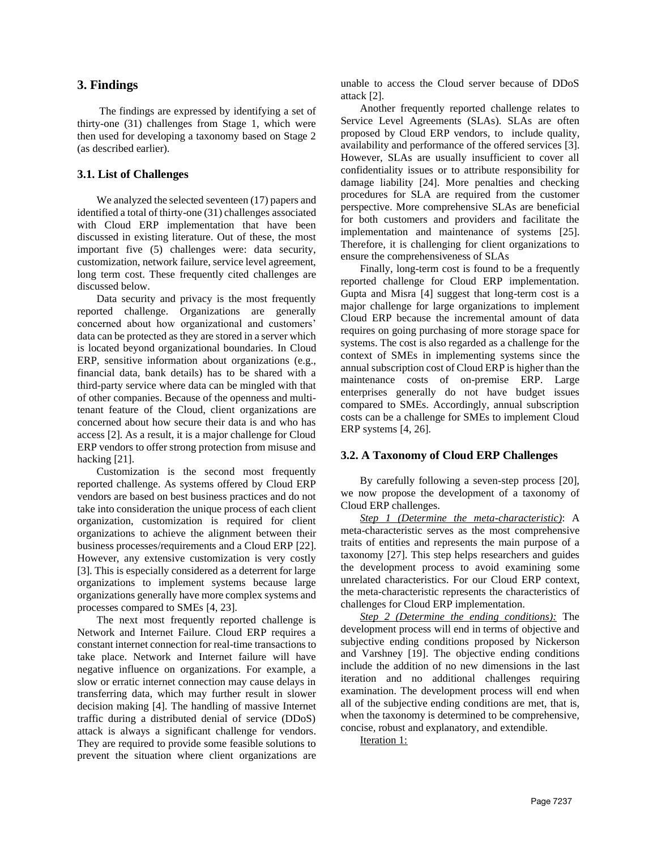## **3. Findings**

The findings are expressed by identifying a set of thirty-one (31) challenges from Stage 1, which were then used for developing a taxonomy based on Stage 2 (as described earlier).

#### **3.1. List of Challenges**

We analyzed the selected seventeen (17) papers and identified a total of thirty-one (31) challenges associated with Cloud ERP implementation that have been discussed in existing literature. Out of these, the most important five (5) challenges were: data security, customization, network failure, service level agreement, long term cost. These frequently cited challenges are discussed below.

Data security and privacy is the most frequently reported challenge. Organizations are generally concerned about how organizational and customers' data can be protected as they are stored in a server which is located beyond organizational boundaries. In Cloud ERP, sensitive information about organizations (e.g., financial data, bank details) has to be shared with a third-party service where data can be mingled with that of other companies. Because of the openness and multitenant feature of the Cloud, client organizations are concerned about how secure their data is and who has access [2]. As a result, it is a major challenge for Cloud ERP vendors to offer strong protection from misuse and hacking [21].

Customization is the second most frequently reported challenge. As systems offered by Cloud ERP vendors are based on best business practices and do not take into consideration the unique process of each client organization, customization is required for client organizations to achieve the alignment between their business processes/requirements and a Cloud ERP [22]. However, any extensive customization is very costly [3]. This is especially considered as a deterrent for large organizations to implement systems because large organizations generally have more complex systems and processes compared to SMEs [4, 23].

The next most frequently reported challenge is Network and Internet Failure. Cloud ERP requires a constant internet connection for real-time transactions to take place. Network and Internet failure will have negative influence on organizations. For example, a slow or erratic internet connection may cause delays in transferring data, which may further result in slower decision making [4]. The handling of massive Internet traffic during a distributed denial of service (DDoS) attack is always a significant challenge for vendors. They are required to provide some feasible solutions to prevent the situation where client organizations are

unable to access the Cloud server because of DDoS attack [2].

Another frequently reported challenge relates to Service Level Agreements (SLAs). SLAs are often proposed by Cloud ERP vendors, to include quality, availability and performance of the offered services [3]. However, SLAs are usually insufficient to cover all confidentiality issues or to attribute responsibility for damage liability [24]. More penalties and checking procedures for SLA are required from the customer perspective. More comprehensive SLAs are beneficial for both customers and providers and facilitate the implementation and maintenance of systems [25]. Therefore, it is challenging for client organizations to ensure the comprehensiveness of SLAs

Finally, long-term cost is found to be a frequently reported challenge for Cloud ERP implementation. Gupta and Misra [4] suggest that long-term cost is a major challenge for large organizations to implement Cloud ERP because the incremental amount of data requires on going purchasing of more storage space for systems. The cost is also regarded as a challenge for the context of SMEs in implementing systems since the annual subscription cost of Cloud ERP is higher than the maintenance costs of on-premise ERP. Large enterprises generally do not have budget issues compared to SMEs. Accordingly, annual subscription costs can be a challenge for SMEs to implement Cloud ERP systems [4, 26].

#### **3.2. A Taxonomy of Cloud ERP Challenges**

By carefully following a seven-step process [20], we now propose the development of a taxonomy of Cloud ERP challenges.

*Step 1 (Determine the meta-characteristic)*: A meta-characteristic serves as the most comprehensive traits of entities and represents the main purpose of a taxonomy [27]. This step helps researchers and guides the development process to avoid examining some unrelated characteristics. For our Cloud ERP context, the meta-characteristic represents the characteristics of challenges for Cloud ERP implementation.

*Step 2 (Determine the ending conditions):* The development process will end in terms of objective and subjective ending conditions proposed by Nickerson and Varshney [19]. The objective ending conditions include the addition of no new dimensions in the last iteration and no additional challenges requiring examination. The development process will end when all of the subjective ending conditions are met, that is, when the taxonomy is determined to be comprehensive, concise, robust and explanatory, and extendible.

Iteration 1: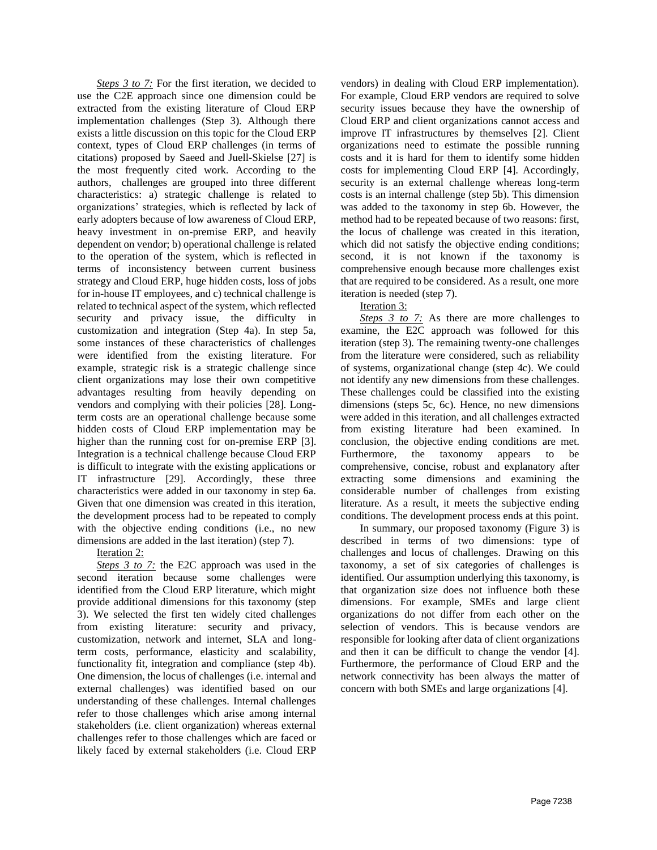**Steps 3 to 7:** For the first iteration, we decided to use the C2E approach since one dimension could be extracted from the existing literature of Cloud ERP implementation challenges (Step 3). Although there exists a little discussion on this topic for the Cloud ERP context, types of Cloud ERP challenges (in terms of citations) proposed by Saeed and Juell-Skielse [27] is the most frequently cited work. According to the authors, challenges are grouped into three different characteristics: a) strategic challenge is related to organizations' strategies, which is reflected by lack of early adopters because of low awareness of Cloud ERP, heavy investment in on-premise ERP, and heavily dependent on vendor; b) operational challenge is related to the operation of the system, which is reflected in terms of inconsistency between current business strategy and Cloud ERP, huge hidden costs, loss of jobs for in-house IT employees, and c) technical challenge is related to technical aspect of the system, which reflected security and privacy issue, the difficulty in customization and integration (Step 4a). In step 5a, some instances of these characteristics of challenges were identified from the existing literature. For example, strategic risk is a strategic challenge since client organizations may lose their own competitive advantages resulting from heavily depending on vendors and complying with their policies [28]. Longterm costs are an operational challenge because some hidden costs of Cloud ERP implementation may be higher than the running cost for on-premise ERP [3]. Integration is a technical challenge because Cloud ERP is difficult to integrate with the existing applications or IT infrastructure [29]. Accordingly, these three characteristics were added in our taxonomy in step 6a. Given that one dimension was created in this iteration, the development process had to be repeated to comply with the objective ending conditions (i.e., no new dimensions are added in the last iteration) (step 7).

Iteration 2:

*Steps 3 to 7:* the E2C approach was used in the second iteration because some challenges were identified from the Cloud ERP literature, which might provide additional dimensions for this taxonomy (step 3). We selected the first ten widely cited challenges from existing literature: security and privacy, customization, network and internet, SLA and longterm costs, performance, elasticity and scalability, functionality fit, integration and compliance (step 4b). One dimension, the locus of challenges (i.e. internal and external challenges) was identified based on our understanding of these challenges. Internal challenges refer to those challenges which arise among internal stakeholders (i.e. client organization) whereas external challenges refer to those challenges which are faced or likely faced by external stakeholders (i.e. Cloud ERP vendors) in dealing with Cloud ERP implementation). For example, Cloud ERP vendors are required to solve security issues because they have the ownership of Cloud ERP and client organizations cannot access and improve IT infrastructures by themselves [2]. Client organizations need to estimate the possible running costs and it is hard for them to identify some hidden costs for implementing Cloud ERP [4]. Accordingly, security is an external challenge whereas long-term costs is an internal challenge (step 5b). This dimension was added to the taxonomy in step 6b. However, the method had to be repeated because of two reasons: first, the locus of challenge was created in this iteration, which did not satisfy the objective ending conditions; second, it is not known if the taxonomy is comprehensive enough because more challenges exist that are required to be considered. As a result, one more iteration is needed (step 7).

## Iteration 3:

**Steps 3 to 7:** As there are more challenges to examine, the E2C approach was followed for this iteration (step 3). The remaining twenty-one challenges from the literature were considered, such as reliability of systems, organizational change (step 4c). We could not identify any new dimensions from these challenges. These challenges could be classified into the existing dimensions (steps 5c, 6c). Hence, no new dimensions were added in this iteration, and all challenges extracted from existing literature had been examined. In conclusion, the objective ending conditions are met. Furthermore, the taxonomy appears to be comprehensive, concise, robust and explanatory after extracting some dimensions and examining the considerable number of challenges from existing literature. As a result, it meets the subjective ending conditions. The development process ends at this point.

In summary, our proposed taxonomy (Figure 3) is described in terms of two dimensions: type of challenges and locus of challenges. Drawing on this taxonomy, a set of six categories of challenges is identified. Our assumption underlying this taxonomy, is that organization size does not influence both these dimensions. For example, SMEs and large client organizations do not differ from each other on the selection of vendors. This is because vendors are responsible for looking after data of client organizations and then it can be difficult to change the vendor [4]. Furthermore, the performance of Cloud ERP and the network connectivity has been always the matter of concern with both SMEs and large organizations [4].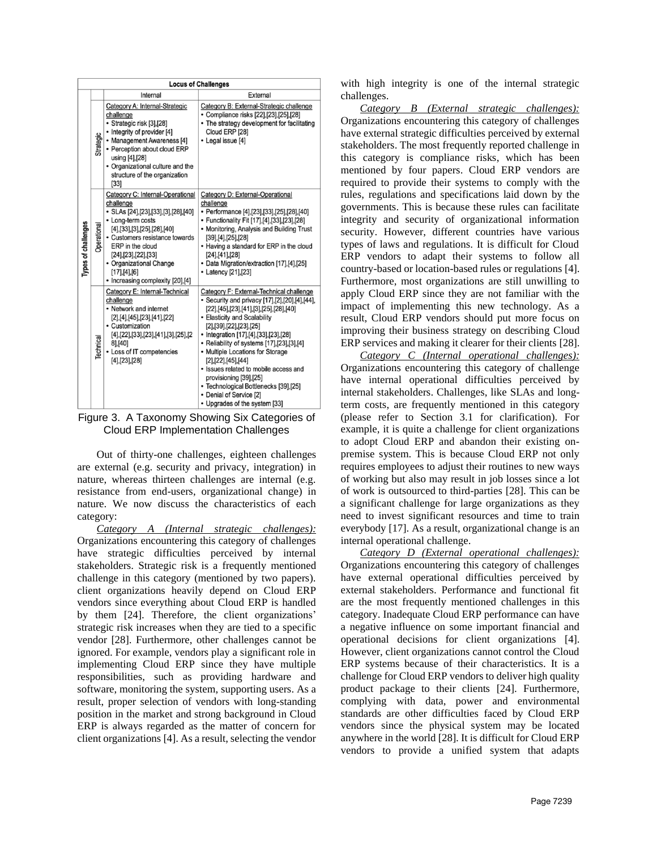| <b>Locus of Challenges</b> |             |                                                                                                                                                                                                                                                                                                      |                                                                                                                                                                                                                                                                                                                                                                                                                                                                                                                                          |
|----------------------------|-------------|------------------------------------------------------------------------------------------------------------------------------------------------------------------------------------------------------------------------------------------------------------------------------------------------------|------------------------------------------------------------------------------------------------------------------------------------------------------------------------------------------------------------------------------------------------------------------------------------------------------------------------------------------------------------------------------------------------------------------------------------------------------------------------------------------------------------------------------------------|
|                            |             | Internal                                                                                                                                                                                                                                                                                             | External                                                                                                                                                                                                                                                                                                                                                                                                                                                                                                                                 |
| Types of challenges        | Strategic   | Category A: Internal-Strategic<br>challenge<br>· Strategic risk [3],[28]<br>• Integrity of provider [4]<br>• Management Awareness [4]<br>• Perception about cloud ERP<br>using [4], [28]<br>• Organizational culture and the<br>structure of the organization<br>$[33]$                              | Category B: External-Strategic challenge<br>• Compliance risks [22],[23],[25],[28]<br>• The strategy development for facilitating<br>Cloud ERP [28]<br>• Legal issue [4]                                                                                                                                                                                                                                                                                                                                                                 |
|                            | Operational | Category C: Internal-Operational<br>challenge<br>• SLAs [24],[23],[33],[3],[28],[40]<br>• Long-term costs<br>[4],[33],[3],[25],[28],[40]<br>• Customers resistance towards<br>ERP in the cloud<br>[24],[23],[22],[33]<br>• Organizational Change<br>[17],[4],[6]<br>• Increasing complexity [20],[4] | Category D: External-Operational<br>challenge<br>• Performance [4],[23],[33],[25],[28],[40]<br>• Functionality Fit [17],[4],[33],[23],[28]<br>• Monitoring, Analysis and Building Trust<br>[39],[4],[25],[28]<br>• Having a standard for ERP in the cloud<br>[24],[41],[28]<br>• Data Migration/extraction [17],[4],[25]<br>• Latency [21], [23]                                                                                                                                                                                         |
|                            | Technical   | Category E: Internal-Technical<br>challenge<br>• Network and internet<br>[2],[4],[45],[23],[41],[22]<br>• Customization<br>[4], [22], [33], [23], [41], [3], [25], [2<br>81, [40]<br>• Loss of IT competencies<br>[4],[23],[28]                                                                      | Category F: External-Technical challenge<br>• Security and privacy [17], [2], [20], [4], [44],<br>$[22],[45],[23],[41],[3],[25],[28],[40]$<br>• Elasticity and Scalability<br>[2],[39],[22],[23],[25]<br>• Integration [17], [4], [33], [23], [28]<br>• Reliability of systems [17], [23], [3], [4]<br>• Multiple Locations for Storage<br>[2], [22], [45], [44]<br>• Issues related to mobile access and<br>provisioning [39],[25]<br>• Technological Bottlenecks [39],[25]<br>• Denial of Service [2]<br>• Upgrades of the system [33] |

Figure 3. A Taxonomy Showing Six Categories of Cloud ERP Implementation Challenges

Out of thirty-one challenges, eighteen challenges are external (e.g. security and privacy, integration) in nature, whereas thirteen challenges are internal (e.g. resistance from end-users, organizational change) in nature. We now discuss the characteristics of each category:

*Category A (Internal strategic challenges):* Organizations encountering this category of challenges have strategic difficulties perceived by internal stakeholders. Strategic risk is a frequently mentioned challenge in this category (mentioned by two papers). client organizations heavily depend on Cloud ERP vendors since everything about Cloud ERP is handled by them [24]. Therefore, the client organizations' strategic risk increases when they are tied to a specific vendor [28]. Furthermore, other challenges cannot be ignored. For example, vendors play a significant role in implementing Cloud ERP since they have multiple responsibilities, such as providing hardware and software, monitoring the system, supporting users. As a result, proper selection of vendors with long-standing position in the market and strong background in Cloud ERP is always regarded as the matter of concern for client organizations [4]. As a result, selecting the vendor

with high integrity is one of the internal strategic challenges.

*Category B (External strategic challenges):* Organizations encountering this category of challenges have external strategic difficulties perceived by external stakeholders. The most frequently reported challenge in this category is compliance risks, which has been mentioned by four papers. Cloud ERP vendors are required to provide their systems to comply with the rules, regulations and specifications laid down by the governments. This is because these rules can facilitate integrity and security of organizational information security. However, different countries have various types of laws and regulations. It is difficult for Cloud ERP vendors to adapt their systems to follow all country-based or location-based rules or regulations [4]. Furthermore, most organizations are still unwilling to apply Cloud ERP since they are not familiar with the impact of implementing this new technology. As a result, Cloud ERP vendors should put more focus on improving their business strategy on describing Cloud ERP services and making it clearer for their clients [28].

*Category C (Internal operational challenges):* Organizations encountering this category of challenge have internal operational difficulties perceived by internal stakeholders. Challenges, like SLAs and longterm costs, are frequently mentioned in this category (please refer to Section 3.1 for clarification). For example, it is quite a challenge for client organizations to adopt Cloud ERP and abandon their existing onpremise system. This is because Cloud ERP not only requires employees to adjust their routines to new ways of working but also may result in job losses since a lot of work is outsourced to third-parties [28]. This can be a significant challenge for large organizations as they need to invest significant resources and time to train everybody [17]. As a result, organizational change is an internal operational challenge.

*Category D (External operational challenges):* Organizations encountering this category of challenges have external operational difficulties perceived by external stakeholders. Performance and functional fit are the most frequently mentioned challenges in this category. Inadequate Cloud ERP performance can have a negative influence on some important financial and operational decisions for client organizations [4]. However, client organizations cannot control the Cloud ERP systems because of their characteristics. It is a challenge for Cloud ERP vendors to deliver high quality product package to their clients [24]. Furthermore, complying with data, power and environmental standards are other difficulties faced by Cloud ERP vendors since the physical system may be located anywhere in the world [28]. It is difficult for Cloud ERP vendors to provide a unified system that adapts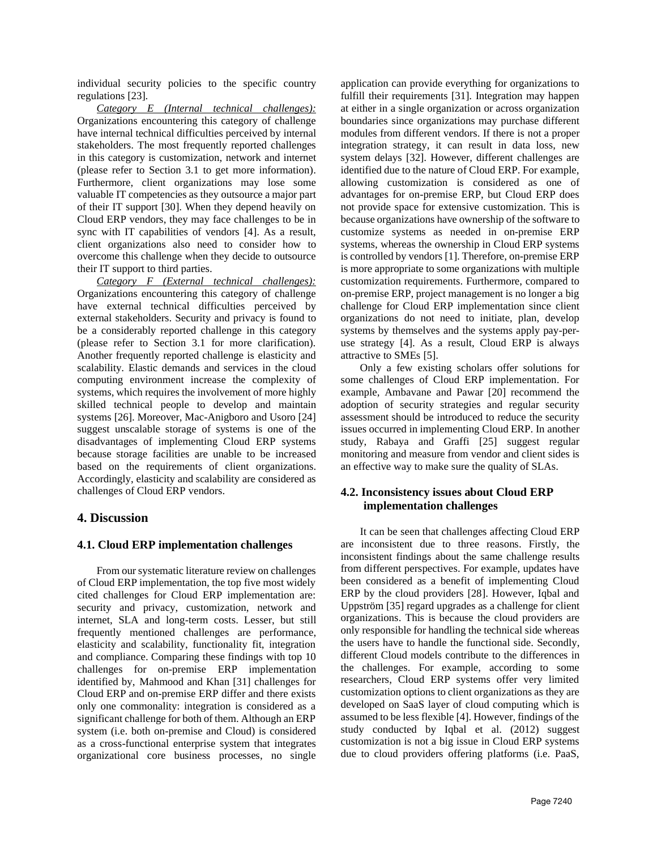individual security policies to the specific country regulations [23].

*Category E (Internal technical challenges):* Organizations encountering this category of challenge have internal technical difficulties perceived by internal stakeholders. The most frequently reported challenges in this category is customization, network and internet (please refer to Section 3.1 to get more information). Furthermore, client organizations may lose some valuable IT competencies as they outsource a major part of their IT support [30]. When they depend heavily on Cloud ERP vendors, they may face challenges to be in sync with IT capabilities of vendors [4]. As a result, client organizations also need to consider how to overcome this challenge when they decide to outsource their IT support to third parties.

*Category F (External technical challenges):*  Organizations encountering this category of challenge have external technical difficulties perceived by external stakeholders. Security and privacy is found to be a considerably reported challenge in this category (please refer to Section 3.1 for more clarification). Another frequently reported challenge is elasticity and scalability. Elastic demands and services in the cloud computing environment increase the complexity of systems, which requires the involvement of more highly skilled technical people to develop and maintain systems [26]. Moreover, Mac-Anigboro and Usoro [24] suggest unscalable storage of systems is one of the disadvantages of implementing Cloud ERP systems because storage facilities are unable to be increased based on the requirements of client organizations. Accordingly, elasticity and scalability are considered as challenges of Cloud ERP vendors.

### **4. Discussion**

#### **4.1. Cloud ERP implementation challenges**

From our systematic literature review on challenges of Cloud ERP implementation, the top five most widely cited challenges for Cloud ERP implementation are: security and privacy, customization, network and internet, SLA and long-term costs. Lesser, but still frequently mentioned challenges are performance, elasticity and scalability, functionality fit, integration and compliance. Comparing these findings with top 10 challenges for on-premise ERP implementation identified by, Mahmood and Khan [31] challenges for Cloud ERP and on-premise ERP differ and there exists only one commonality: integration is considered as a significant challenge for both of them. Although an ERP system (i.e. both on-premise and Cloud) is considered as a cross-functional enterprise system that integrates organizational core business processes, no single

application can provide everything for organizations to fulfill their requirements [31]. Integration may happen at either in a single organization or across organization boundaries since organizations may purchase different modules from different vendors. If there is not a proper integration strategy, it can result in data loss, new system delays [32]. However, different challenges are identified due to the nature of Cloud ERP. For example, allowing customization is considered as one of advantages for on-premise ERP, but Cloud ERP does not provide space for extensive customization. This is because organizations have ownership of the software to customize systems as needed in on-premise ERP systems, whereas the ownership in Cloud ERP systems is controlled by vendors [1]. Therefore, on-premise ERP is more appropriate to some organizations with multiple customization requirements. Furthermore, compared to on-premise ERP, project management is no longer a big challenge for Cloud ERP implementation since client organizations do not need to initiate, plan, develop systems by themselves and the systems apply pay-peruse strategy [4]. As a result, Cloud ERP is always attractive to SMEs [5].

Only a few existing scholars offer solutions for some challenges of Cloud ERP implementation. For example, Ambavane and Pawar [20] recommend the adoption of security strategies and regular security assessment should be introduced to reduce the security issues occurred in implementing Cloud ERP. In another study, Rabaya and Graffi [25] suggest regular monitoring and measure from vendor and client sides is an effective way to make sure the quality of SLAs.

## **4.2. Inconsistency issues about Cloud ERP implementation challenges**

It can be seen that challenges affecting Cloud ERP are inconsistent due to three reasons. Firstly, the inconsistent findings about the same challenge results from different perspectives. For example, updates have been considered as a benefit of implementing Cloud ERP by the cloud providers [28]. However, Iqbal and Uppström [35] regard upgrades as a challenge for client organizations. This is because the cloud providers are only responsible for handling the technical side whereas the users have to handle the functional side. Secondly, different Cloud models contribute to the differences in the challenges. For example, according to some researchers, Cloud ERP systems offer very limited customization options to client organizations as they are developed on SaaS layer of cloud computing which is assumed to be less flexible [4]. However, findings of the study conducted by Iqbal et al. (2012) suggest customization is not a big issue in Cloud ERP systems due to cloud providers offering platforms (i.e. PaaS,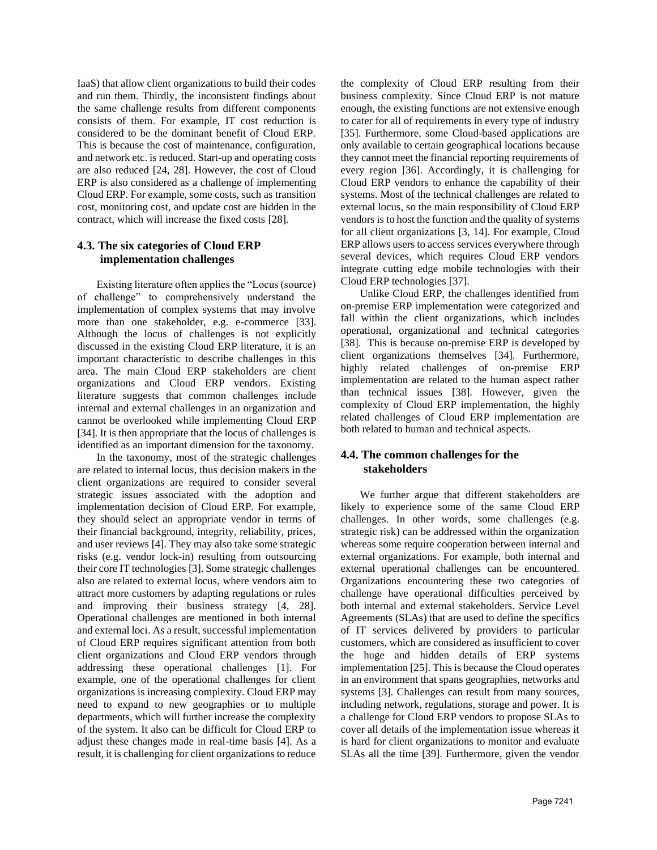IaaS) that allow client organizations to build their codes and run them. Thirdly, the inconsistent findings about the same challenge results from different components consists of them. For example, IT cost reduction is considered to be the dominant benefit of Cloud ERP. This is because the cost of maintenance, configuration, and network etc. is reduced. Start-up and operating costs are also reduced [24, 28]. However, the cost of Cloud ERP is also considered as a challenge of implementing Cloud ERP. For example, some costs, such as transition cost, monitoring cost, and update cost are hidden in the contract, which will increase the fixed costs [28].

## **4.3. The six categories of Cloud ERP implementation challenges**

Existing literature often applies the "Locus (source) of challenge" to comprehensively understand the implementation of complex systems that may involve more than one stakeholder, e.g. e-commerce [33]. Although the locus of challenges is not explicitly discussed in the existing Cloud ERP literature, it is an important characteristic to describe challenges in this area. The main Cloud ERP stakeholders are client organizations and Cloud ERP vendors. Existing literature suggests that common challenges include internal and external challenges in an organization and cannot be overlooked while implementing Cloud ERP [34]. It is then appropriate that the locus of challenges is identified as an important dimension for the taxonomy.

In the taxonomy, most of the strategic challenges are related to internal locus, thus decision makers in the client organizations are required to consider several strategic issues associated with the adoption and implementation decision of Cloud ERP. For example, they should select an appropriate vendor in terms of their financial background, integrity, reliability, prices, and user reviews [4]. They may also take some strategic risks (e.g. vendor lock-in) resulting from outsourcing their core IT technologies [3]. Some strategic challenges also are related to external locus, where vendors aim to attract more customers by adapting regulations or rules and improving their business strategy [4, 28]. Operational challenges are mentioned in both internal and external loci. As a result, successful implementation of Cloud ERP requires significant attention from both client organizations and Cloud ERP vendors through addressing these operational challenges [1]. For example, one of the operational challenges for client organizations is increasing complexity. Cloud ERP may need to expand to new geographies or to multiple departments, which will further increase the complexity of the system. It also can be difficult for Cloud ERP to adjust these changes made in real-time basis [4]. As a result, it is challenging for client organizations to reduce

the complexity of Cloud ERP resulting from their business complexity. Since Cloud ERP is not mature enough, the existing functions are not extensive enough to cater for all of requirements in every type of industry [35]. Furthermore, some Cloud-based applications are only available to certain geographical locations because they cannot meet the financial reporting requirements of every region [36]. Accordingly, it is challenging for Cloud ERP vendors to enhance the capability of their systems. Most of the technical challenges are related to external locus, so the main responsibility of Cloud ERP vendors is to host the function and the quality of systems for all client organizations [3, 14]. For example, Cloud ERP allows users to access services everywhere through several devices, which requires Cloud ERP vendors integrate cutting edge mobile technologies with their Cloud ERP technologies [37].

Unlike Cloud ERP, the challenges identified from on-premise ERP implementation were categorized and fall within the client organizations, which includes operational, organizational and technical categories [38]. This is because on-premise ERP is developed by client organizations themselves [34]. Furthermore, highly related challenges of on-premise ERP implementation are related to the human aspect rather than technical issues [38]. However, given the complexity of Cloud ERP implementation, the highly related challenges of Cloud ERP implementation are both related to human and technical aspects.

## **4.4. The common challenges for the stakeholders**

We further argue that different stakeholders are likely to experience some of the same Cloud ERP challenges. In other words, some challenges (e.g. strategic risk) can be addressed within the organization whereas some require cooperation between internal and external organizations. For example, both internal and external operational challenges can be encountered. Organizations encountering these two categories of challenge have operational difficulties perceived by both internal and external stakeholders. Service Level Agreements (SLAs) that are used to define the specifics of IT services delivered by providers to particular customers, which are considered as insufficient to cover the huge and hidden details of ERP systems implementation [25]. This is because the Cloud operates in an environment that spans geographies, networks and systems [3]. Challenges can result from many sources, including network, regulations, storage and power. It is a challenge for Cloud ERP vendors to propose SLAs to cover all details of the implementation issue whereas it is hard for client organizations to monitor and evaluate SLAs all the time [39]. Furthermore, given the vendor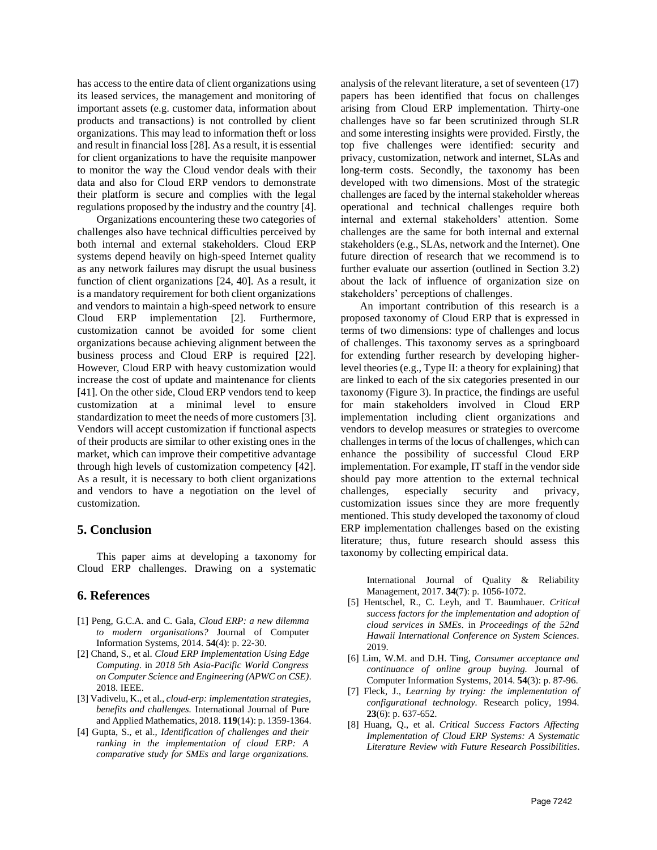has access to the entire data of client organizations using its leased services, the management and monitoring of important assets (e.g. customer data, information about products and transactions) is not controlled by client organizations. This may lead to information theft or loss and result in financial loss [28]. As a result, it is essential for client organizations to have the requisite manpower to monitor the way the Cloud vendor deals with their data and also for Cloud ERP vendors to demonstrate their platform is secure and complies with the legal regulations proposed by the industry and the country [4].

Organizations encountering these two categories of challenges also have technical difficulties perceived by both internal and external stakeholders. Cloud ERP systems depend heavily on high-speed Internet quality as any network failures may disrupt the usual business function of client organizations [24, 40]. As a result, it is a mandatory requirement for both client organizations and vendors to maintain a high-speed network to ensure Cloud ERP implementation [2]. Furthermore, customization cannot be avoided for some client organizations because achieving alignment between the business process and Cloud ERP is required [22]. However, Cloud ERP with heavy customization would increase the cost of update and maintenance for clients [41]. On the other side, Cloud ERP vendors tend to keep customization at a minimal level to ensure standardization to meet the needs of more customers [3]. Vendors will accept customization if functional aspects of their products are similar to other existing ones in the market, which can improve their competitive advantage through high levels of customization competency [42]. As a result, it is necessary to both client organizations and vendors to have a negotiation on the level of customization.

#### **5. Conclusion**

This paper aims at developing a taxonomy for Cloud ERP challenges. Drawing on a systematic

## **6. References**

- [1] Peng, G.C.A. and C. Gala, *Cloud ERP: a new dilemma to modern organisations?* Journal of Computer Information Systems, 2014. **54**(4): p. 22-30.
- [2] Chand, S., et al. *Cloud ERP Implementation Using Edge Computing*. in *2018 5th Asia-Pacific World Congress on Computer Science and Engineering (APWC on CSE)*. 2018. IEEE.
- [3] Vadivelu, K., et al., *cloud-erp: implementation strategies, benefits and challenges.* International Journal of Pure and Applied Mathematics, 2018. **119**(14): p. 1359-1364.
- [4] Gupta, S., et al., *Identification of challenges and their ranking in the implementation of cloud ERP: A comparative study for SMEs and large organizations.*

analysis of the relevant literature, a set of seventeen (17) papers has been identified that focus on challenges arising from Cloud ERP implementation. Thirty-one challenges have so far been scrutinized through SLR and some interesting insights were provided. Firstly, the top five challenges were identified: security and privacy, customization, network and internet, SLAs and long-term costs. Secondly, the taxonomy has been developed with two dimensions. Most of the strategic challenges are faced by the internal stakeholder whereas operational and technical challenges require both internal and external stakeholders' attention. Some challenges are the same for both internal and external stakeholders (e.g., SLAs, network and the Internet). One future direction of research that we recommend is to further evaluate our assertion (outlined in Section 3.2) about the lack of influence of organization size on stakeholders' perceptions of challenges.

An important contribution of this research is a proposed taxonomy of Cloud ERP that is expressed in terms of two dimensions: type of challenges and locus of challenges. This taxonomy serves as a springboard for extending further research by developing higherlevel theories (e.g., Type II: a theory for explaining) that are linked to each of the six categories presented in our taxonomy (Figure 3). In practice, the findings are useful for main stakeholders involved in Cloud ERP implementation including client organizations and vendors to develop measures or strategies to overcome challenges in terms of the locus of challenges, which can enhance the possibility of successful Cloud ERP implementation. For example, IT staff in the vendor side should pay more attention to the external technical challenges, especially security and privacy, customization issues since they are more frequently mentioned. This study developed the taxonomy of cloud ERP implementation challenges based on the existing literature; thus, future research should assess this taxonomy by collecting empirical data.

> International Journal of Quality & Reliability Management, 2017. **34**(7): p. 1056-1072.

- [5] Hentschel, R., C. Leyh, and T. Baumhauer. *Critical success factors for the implementation and adoption of cloud services in SMEs*. in *Proceedings of the 52nd Hawaii International Conference on System Sciences*. 2019.
- [6] Lim, W.M. and D.H. Ting, *Consumer acceptance and continuance of online group buying.* Journal of Computer Information Systems, 2014. **54**(3): p. 87-96.
- [7] Fleck, J., *Learning by trying: the implementation of configurational technology.* Research policy, 1994. **23**(6): p. 637-652.
- [8] Huang, Q., et al. *Critical Success Factors Affecting Implementation of Cloud ERP Systems: A Systematic Literature Review with Future Research Possibilities*.